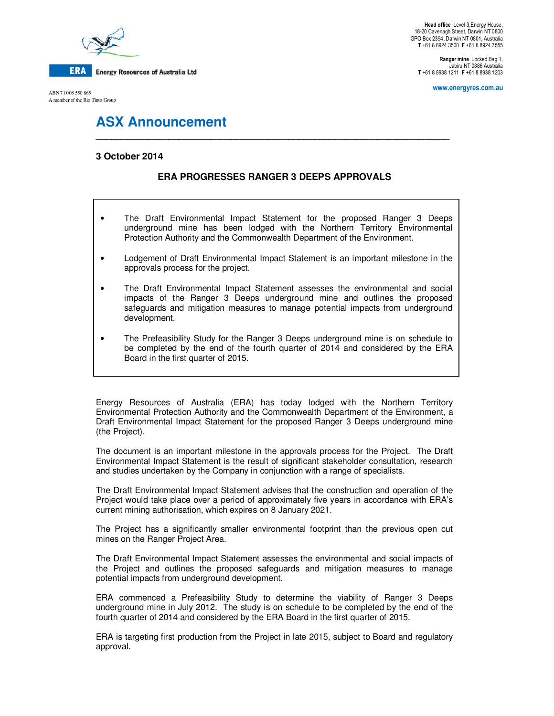

ABN 71 008 550 865 A member of the Rio Tinto Group

**Head office** Level 3,Energy House, 18-20 Cavenagh Street, Darwin NT 0800 GPO Box 2394, Darwin NT 0801, Australia **T** +61 8 8924 3500 **F** +61 8 8924 3555

**Ranger mine** Locked Bag 1, Jabiru NT 0886 Australia **T** +61 8 8938 1211 **F** +61 8 8938 1203

**www.energyres.com.au** 

# **ASX Announcement**

## **3 October 2014**

# **ERA PROGRESSES RANGER 3 DEEPS APPROVALS**

**\_\_\_\_\_\_\_\_\_\_\_\_\_\_\_\_\_\_\_\_\_\_\_\_\_\_\_\_\_\_\_\_\_\_\_\_\_\_\_\_\_\_\_\_\_\_\_\_\_\_\_\_\_\_\_\_\_\_\_\_\_\_\_\_\_\_\_\_** 

- The Draft Environmental Impact Statement for the proposed Ranger 3 Deeps underground mine has been lodged with the Northern Territory Environmental Protection Authority and the Commonwealth Department of the Environment.
- Lodgement of Draft Environmental Impact Statement is an important milestone in the approvals process for the project.
- The Draft Environmental Impact Statement assesses the environmental and social impacts of the Ranger 3 Deeps underground mine and outlines the proposed safeguards and mitigation measures to manage potential impacts from underground development.
- The Prefeasibility Study for the Ranger 3 Deeps underground mine is on schedule to be completed by the end of the fourth quarter of 2014 and considered by the ERA Board in the first quarter of 2015.

Energy Resources of Australia (ERA) has today lodged with the Northern Territory Environmental Protection Authority and the Commonwealth Department of the Environment, a Draft Environmental Impact Statement for the proposed Ranger 3 Deeps underground mine (the Project).

The document is an important milestone in the approvals process for the Project. The Draft Environmental Impact Statement is the result of significant stakeholder consultation, research and studies undertaken by the Company in conjunction with a range of specialists.

The Draft Environmental Impact Statement advises that the construction and operation of the Project would take place over a period of approximately five years in accordance with ERA's current mining authorisation, which expires on 8 January 2021.

The Project has a significantly smaller environmental footprint than the previous open cut mines on the Ranger Project Area.

The Draft Environmental Impact Statement assesses the environmental and social impacts of the Project and outlines the proposed safeguards and mitigation measures to manage potential impacts from underground development.

ERA commenced a Prefeasibility Study to determine the viability of Ranger 3 Deeps underground mine in July 2012. The study is on schedule to be completed by the end of the fourth quarter of 2014 and considered by the ERA Board in the first quarter of 2015.

ERA is targeting first production from the Project in late 2015, subject to Board and regulatory approval.